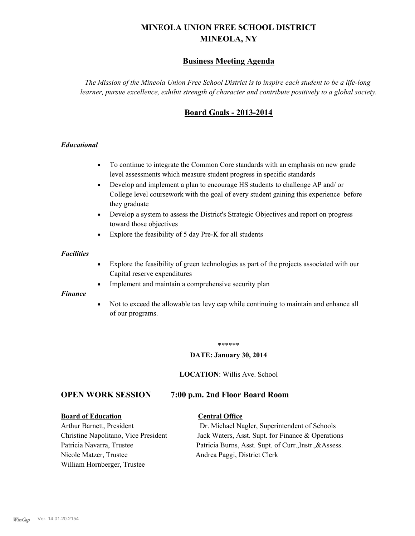# **MINEOLA UNION FREE SCHOOL DISTRICT MINEOLA, NY**

# **Business Meeting Agenda**

*The Mission of the Mineola Union Free School District is to inspire each student to be a life-long learner, pursue excellence, exhibit strength of character and contribute positively to a global society.*

# **Board Goals - 2013-2014**

#### *Educational*

- · To continue to integrate the Common Core standards with an emphasis on new grade level assessments which measure student progress in specific standards
- · Develop and implement a plan to encourage HS students to challenge AP and/ or College level coursework with the goal of every student gaining this experience before they graduate
- Develop a system to assess the District's Strategic Objectives and report on progress toward those objectives
- · Explore the feasibility of 5 day Pre-K for all students

#### *Facilities*

- · Explore the feasibility of green technologies as part of the projects associated with our Capital reserve expenditures
- Implement and maintain a comprehensive security plan

#### *Finance*

• Not to exceed the allowable tax levy cap while continuing to maintain and enhance all of our programs.

#### \*\*\*\*\*\*

#### **DATE: January 30, 2014**

**LOCATION**: Willis Ave. School

# **OPEN WORK SESSION 7:00 p.m. 2nd Floor Board Room**

#### **Board of Education Central Office**

Nicole Matzer, Trustee Andrea Paggi, District Clerk William Hornberger, Trustee

Arthur Barnett, President Dr. Michael Nagler, Superintendent of Schools Christine Napolitano, Vice President Jack Waters, Asst. Supt. for Finance & Operations Patricia Navarra, Trustee Patricia Burns, Asst. Supt. of Curr., Instr., &Assess.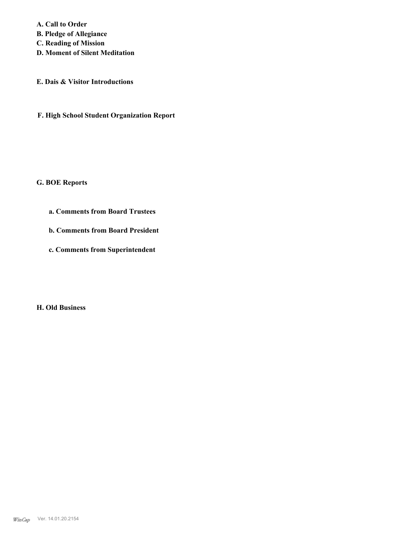**A. Call to Order B. Pledge of Allegiance C. Reading of Mission D. Moment of Silent Meditation**

**E. Dais & Visitor Introductions**

**F. High School Student Organization Report**

**G. BOE Reports**

**a. Comments from Board Trustees**

**b. Comments from Board President**

**c. Comments from Superintendent**

**H. Old Business**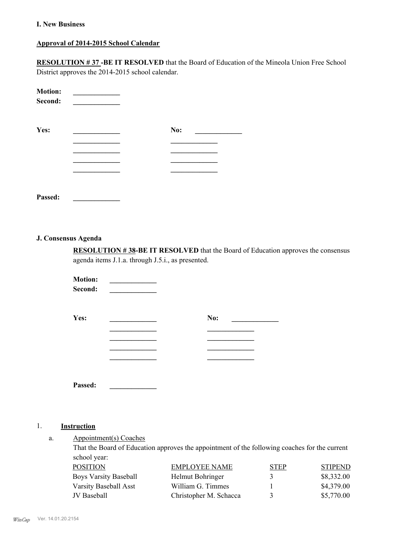#### **I. New Business**

# **Approval of 2014-2015 School Calendar**

**RESOLUTION # 37 -BE IT RESOLVED** that the Board of Education of the Mineola Union Free School District approves the 2014-2015 school calendar.

| <b>Motion:</b><br>Second: |     |
|---------------------------|-----|
| Yes:                      | No: |
|                           |     |
|                           |     |
|                           |     |
|                           |     |
|                           |     |
|                           |     |

**Passed: \_\_\_\_\_\_\_\_\_\_\_\_\_**

#### **J. Consensus Agenda**

**RESOLUTION # 38-BE IT RESOLVED** that the Board of Education approves the consensus agenda items J.1.a. through J.5.i., as presented.

| <b>Motion:</b><br>Second: |     |
|---------------------------|-----|
| Yes:                      | No: |
|                           |     |
|                           |     |
|                           |     |
| Passed:                   |     |

### 1. **Instruction**

Appointment(s) Coaches a.

> That the Board of Education approves the appointment of the following coaches for the current school year:

| POSITION              | EMPLOYEE NAME          | <b>STEP</b> | <b>STIPEND</b> |
|-----------------------|------------------------|-------------|----------------|
| Boys Varsity Baseball | Helmut Bohringer       |             | \$8,332.00     |
| Varsity Baseball Asst | William G. Timmes      |             | \$4,379.00     |
| JV Baseball           | Christopher M. Schacca |             | \$5,770.00     |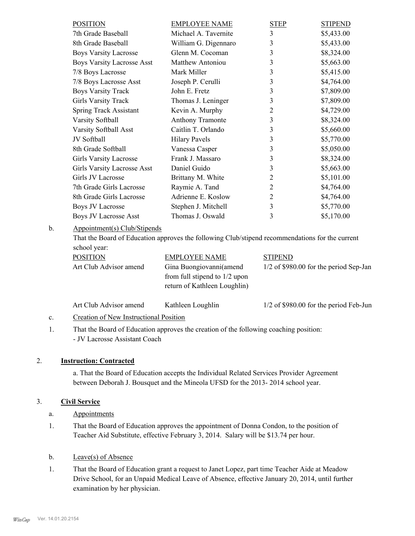| <b>POSITION</b>                                     | <b>EMPLOYEE NAME</b>    | <b>STEP</b>    | <b>STIPEND</b> |
|-----------------------------------------------------|-------------------------|----------------|----------------|
| 7th Grade Baseball                                  | Michael A. Tavernite    | 3              | \$5,433.00     |
| 8th Grade Baseball                                  | William G. Digennaro    | 3              | \$5,433.00     |
| <b>Boys Varsity Lacrosse</b>                        | Glenn M. Cocoman        | 3              | \$8,324.00     |
| <b>Boys Varsity Lacrosse Asst</b>                   | <b>Matthew Antoniou</b> | 3              | \$5,663.00     |
| 7/8 Boys Lacrosse                                   | Mark Miller             | 3              | \$5,415.00     |
| 7/8 Boys Lacrosse Asst                              | Joseph P. Cerulli       | 3              | \$4,764.00     |
| <b>Boys Varsity Track</b>                           | John E. Fretz           | 3              | \$7,809.00     |
| <b>Girls Varsity Track</b>                          | Thomas J. Leninger      | 3              | \$7,809.00     |
| <b>Spring Track Assistant</b>                       | Kevin A. Murphy         | $\overline{2}$ | \$4,729.00     |
| <b>Varsity Softball</b>                             | <b>Anthony Tramonte</b> | 3              | \$8,324.00     |
| Varsity Softball Asst                               | Caitlin T. Orlando      | 3              | \$5,660.00     |
| JV Softball                                         | <b>Hilary Pavels</b>    | 3              | \$5,770.00     |
| 8th Grade Softball                                  | Vanessa Casper          | 3              | \$5,050.00     |
| <b>Girls Varsity Lacrosse</b>                       | Frank J. Massaro        | 3              | \$8,324.00     |
| <b>Girls Varsity Lacrosse Asst</b>                  | Daniel Guido            | 3              | \$5,663.00     |
| Girls JV Lacrosse                                   | Brittany M. White       | $\overline{2}$ | \$5,101.00     |
| 7th Grade Girls Lacrosse                            | Raymie A. Tand          | $\overline{2}$ | \$4,764.00     |
| 8th Grade Girls Lacrosse                            | Adrienne E. Koslow      | $\overline{2}$ | \$4,764.00     |
| <b>Boys JV Lacrosse</b>                             | Stephen J. Mitchell     | 3              | \$5,770.00     |
| <b>Boys JV Lacrosse Asst</b>                        | Thomas J. Oswald        | 3              | \$5,170.00     |
| $\Lambda$ projectmont(c) $C$ lub/ $\Lambda$ tinonde |                         |                |                |

Appointment(s) Club/Stipends b.

> That the Board of Education approves the following Club/stipend recommendations for the current school year:

| <b>POSITION</b>        | <b>EMPLOYEE NAME</b>            | <b>STIPEND</b>                           |
|------------------------|---------------------------------|------------------------------------------|
| Art Club Advisor amend | Gina Buongiovanni (amend        | $1/2$ of \$980.00 for the period Sep-Jan |
|                        | from full stipend to $1/2$ upon |                                          |
|                        | return of Kathleen Loughlin)    |                                          |
|                        |                                 |                                          |

| Art Club Advisor amend                       | Kathleen Loughlin | $1/2$ of \$980.00 for the period Feb-Jun |
|----------------------------------------------|-------------------|------------------------------------------|
| $\alpha$ and $\alpha$ is the set of $\alpha$ |                   |                                          |

#### c. Creation of New Instructional Position

That the Board of Education approves the creation of the following coaching position: - JV Lacrosse Assistant Coach 1.

# 2. **Instruction: Contracted**

a. That the Board of Education accepts the Individual Related Services Provider Agreement between Deborah J. Bousquet and the Mineola UFSD for the 2013- 2014 school year.

#### 3. **Civil Service**

- a. Appointments
- That the Board of Education approves the appointment of Donna Condon, to the position of Teacher Aid Substitute, effective February 3, 2014. Salary will be \$13.74 per hour. 1.
- b. Leave(s) of Absence
- That the Board of Education grant a request to Janet Lopez, part time Teacher Aide at Meadow Drive School, for an Unpaid Medical Leave of Absence, effective January 20, 2014, until further examination by her physician. 1.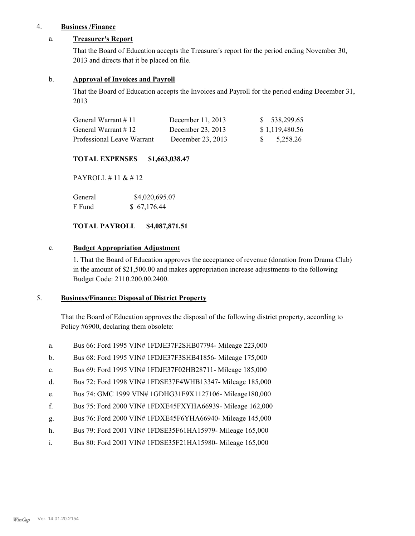### 4. **Business /Finance**

### a. **Treasurer's Report**

That the Board of Education accepts the Treasurer's report for the period ending November 30, 2013 and directs that it be placed on file.

#### b. **Approval of Invoices and Payroll**

That the Board of Education accepts the Invoices and Payroll for the period ending December 31, 2013

| General Warrant $\#$ 11    | December $11, 2013$ | \$ 538,299.65  |
|----------------------------|---------------------|----------------|
| General Warrant $\#$ 12    | December 23, 2013   | \$1,119,480.56 |
| Professional Leave Warrant | December 23, 2013   | \$ 5.258.26    |

#### **TOTAL EXPENSES \$1,663,038.47**

PAYROLL # 11 & # 12

| General | \$4,020,695.07 |
|---------|----------------|
| F Fund  | \$67,176.44    |

## **TOTAL PAYROLL \$4,087,871.51**

#### c. **Budget Appropriation Adjustment**

1. That the Board of Education approves the acceptance of revenue (donation from Drama Club) in the amount of \$21,500.00 and makes appropriation increase adjustments to the following Budget Code: 2110.200.00.2400.

#### **Business/Finance: Disposal of District Property** 5.

That the Board of Education approves the disposal of the following district property, according to Policy #6900, declaring them obsolete:

- a. Bus 66: Ford 1995 VIN# 1FDJE37F2SHB07794- Mileage 223,000
- b. Bus 68: Ford 1995 VIN# 1FDJE37F3SHB41856- Mileage 175,000
- c. Bus 69: Ford 1995 VIN# 1FDJE37F02HB28711- Mileage 185,000
- d. Bus 72: Ford 1998 VIN# 1FDSE37F4WHB13347- Mileage 185,000
- e. Bus 74: GMC 1999 VIN# 1GDHG31F9X1127106- Mileage180,000
- f. Bus 75: Ford 2000 VIN# 1FDXE45FXYHA66939- Mileage 162,000
- g. Bus 76: Ford 2000 VIN# 1FDXE45F6YHA66940- Mileage 145,000
- h. Bus 79: Ford 2001 VIN# 1FDSE35F61HA15979- Mileage 165,000
- i. Bus 80: Ford 2001 VIN# 1FDSE35F21HA15980- Mileage 165,000